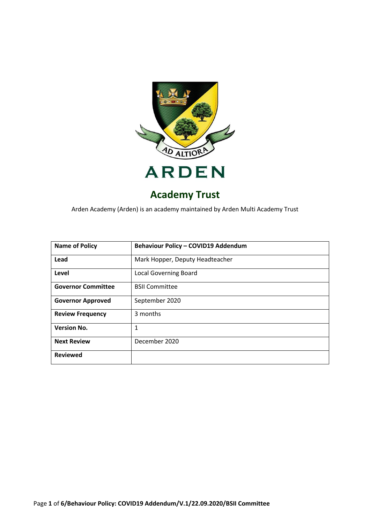

# **Academy Trust**

Arden Academy (Arden) is an academy maintained by Arden Multi Academy Trust

| <b>Name of Policy</b>     | Behaviour Policy - COVID19 Addendum |
|---------------------------|-------------------------------------|
| Lead                      | Mark Hopper, Deputy Headteacher     |
| Level                     | <b>Local Governing Board</b>        |
| <b>Governor Committee</b> | <b>BSII Committee</b>               |
| <b>Governor Approved</b>  | September 2020                      |
| <b>Review Frequency</b>   | 3 months                            |
| <b>Version No.</b>        | 1                                   |
| <b>Next Review</b>        | December 2020                       |
| <b>Reviewed</b>           |                                     |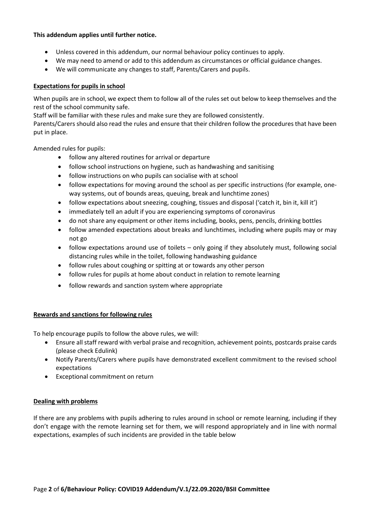# **This addendum applies until further notice.**

- Unless covered in this addendum, our normal behaviour policy continues to apply.
- We may need to amend or add to this addendum as circumstances or official guidance changes.
- We will communicate any changes to staff, Parents/Carers and pupils.

# **Expectations for pupils in school**

When pupils are in school, we expect them to follow all of the rules set out below to keep themselves and the rest of the school community safe.

Staff will be familiar with these rules and make sure they are followed consistently.

Parents/Carers should also read the rules and ensure that their children follow the procedures that have been put in place.

Amended rules for pupils:

- follow any altered routines for arrival or departure
- follow school instructions on hygiene, such as handwashing and sanitising
- follow instructions on who pupils can socialise with at school
- follow expectations for moving around the school as per specific instructions (for example, oneway systems, out of bounds areas, queuing, break and lunchtime zones)
- follow expectations about sneezing, coughing, tissues and disposal ('catch it, bin it, kill it')
- immediately tell an adult if you are experiencing symptoms of coronavirus
- do not share any equipment or other items including, books, pens, pencils, drinking bottles
- follow amended expectations about breaks and lunchtimes, including where pupils may or may not go
- follow expectations around use of toilets only going if they absolutely must, following social distancing rules while in the toilet, following handwashing guidance
- follow rules about coughing or spitting at or towards any other person
- follow rules for pupils at home about conduct in relation to remote learning
- follow rewards and sanction system where appropriate

#### **Rewards and sanctions for following rules**

To help encourage pupils to follow the above rules, we will:

- Ensure all staff reward with verbal praise and recognition, achievement points, postcards praise cards (please check Edulink)
- Notify Parents/Carers where pupils have demonstrated excellent commitment to the revised school expectations
- Exceptional commitment on return

#### **Dealing with problems**

If there are any problems with pupils adhering to rules around in school or remote learning, including if they don't engage with the remote learning set for them, we will respond appropriately and in line with normal expectations, examples of such incidents are provided in the table below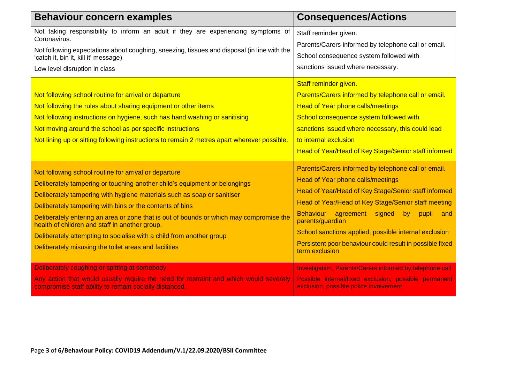| <b>Behaviour concern examples</b>                                                                                                                                                                                                                                                                                                                                                                                                                                                                                                                        | <b>Consequences/Actions</b>                                                                                                                                                                                                                                                                                                                                                                                                             |
|----------------------------------------------------------------------------------------------------------------------------------------------------------------------------------------------------------------------------------------------------------------------------------------------------------------------------------------------------------------------------------------------------------------------------------------------------------------------------------------------------------------------------------------------------------|-----------------------------------------------------------------------------------------------------------------------------------------------------------------------------------------------------------------------------------------------------------------------------------------------------------------------------------------------------------------------------------------------------------------------------------------|
| Not taking responsibility to inform an adult if they are experiencing symptoms of<br>Coronavirus.<br>Not following expectations about coughing, sneezing, tissues and disposal (in line with the<br>'catch it, bin it, kill it' message)<br>Low level disruption in class                                                                                                                                                                                                                                                                                | Staff reminder given.<br>Parents/Carers informed by telephone call or email.<br>School consequence system followed with<br>sanctions issued where necessary.                                                                                                                                                                                                                                                                            |
| Not following school routine for arrival or departure<br>Not following the rules about sharing equipment or other items<br>Not following instructions on hygiene, such has hand washing or sanitising<br>Not moving around the school as per specific instructions<br>Not lining up or sitting following instructions to remain 2 metres apart wherever possible.                                                                                                                                                                                        | Staff reminder given.<br>Parents/Carers informed by telephone call or email.<br><b>Head of Year phone calls/meetings</b><br>School consequence system followed with<br>sanctions issued where necessary, this could lead<br>to internal exclusion<br>Head of Year/Head of Key Stage/Senior staff informed                                                                                                                               |
| Not following school routine for arrival or departure<br>Deliberately tampering or touching another child's equipment or belongings<br>Deliberately tampering with hygiene materials such as soap or sanitiser<br>Deliberately tampering with bins or the contents of bins<br>Deliberately entering an area or zone that is out of bounds or which may compromise the<br>health of children and staff in another group.<br>Deliberately attempting to socialise with a child from another group<br>Deliberately misusing the toilet areas and facilities | Parents/Carers informed by telephone call or email.<br><b>Head of Year phone calls/meetings</b><br>Head of Year/Head of Key Stage/Senior staff informed<br>Head of Year/Head of Key Stage/Senior staff meeting<br><b>Behaviour</b><br>agreement signed<br>by<br>pupil<br>and<br>parents/guardian<br>School sanctions applied, possible internal exclusion<br>Persistent poor behaviour could result in possible fixed<br>term exclusion |
| Deliberately coughing or spitting at somebody<br>Any action that would usually require the need for restraint and which would severely<br>compromise staff ability to remain socially distanced.                                                                                                                                                                                                                                                                                                                                                         | <b>Investigation, Parents/Carers informed by telephone call</b><br>Possible internal/fixed exclusion, possible permanent<br>exclusion, possible police involvement                                                                                                                                                                                                                                                                      |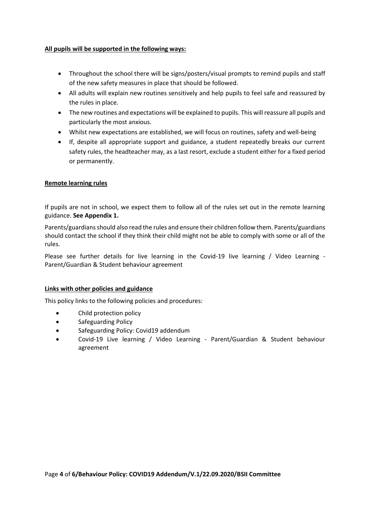# **All pupils will be supported in the following ways:**

- Throughout the school there will be signs/posters/visual prompts to remind pupils and staff of the new safety measures in place that should be followed.
- All adults will explain new routines sensitively and help pupils to feel safe and reassured by the rules in place.
- The new routines and expectations will be explained to pupils. This will reassure all pupils and particularly the most anxious.
- Whilst new expectations are established, we will focus on routines, safety and well-being
- If, despite all appropriate support and guidance, a student repeatedly breaks our current safety rules, the headteacher may, as a last resort, exclude a student either for a fixed period or permanently.

# **Remote learning rules**

If pupils are not in school, we expect them to follow all of the rules set out in the remote learning guidance. **See Appendix 1.**

Parents/guardians should also read the rules and ensure their children follow them. Parents/guardians should contact the school if they think their child might not be able to comply with some or all of the rules.

Please see further details for live learning in the Covid-19 live learning / Video Learning -Parent/Guardian & Student behaviour agreement

#### **Links with other policies and guidance**

This policy links to the following policies and procedures:

- Child protection policy
- **•** Safeguarding Policy
- Safeguarding Policy: Covid19 addendum
- Covid-19 Live learning / Video Learning Parent/Guardian & Student behaviour agreement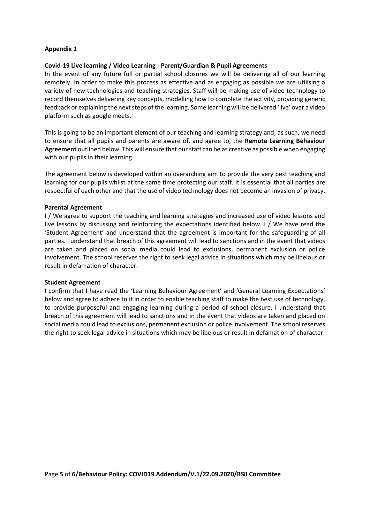#### **Appendix 1**

#### **Covid-19 Live learning / Video Learning - Parent/Guardian & Pupil Agreements**

In the event of any future full or partial school closures we will be delivering all of our learning remotely. In order to make this process as effective and as engaging as possible we are utilising a variety of new technologies and teaching strategies. Staff will be making use of video technology to record themselves delivering key concepts, modelling how to complete the activity, providing generic feedback or explaining the next steps of the learning. Some learning will be delivered 'live' over a video platform such as google meets.

This is going to be an important element of our teaching and learning strategy and, as such, we need to ensure that all pupils and parents are aware of, and agree to, the **Remote Learning Behaviour Agreement** outlined below. This will ensure that our staff can be as creative as possible when engaging with our pupils in their learning.

The agreement below is developed within an overarching aim to provide the very best teaching and learning for our pupils whilst at the same time protecting our staff. It is essential that all parties are respectful of each other and that the use of video technology does not become an invasion of privacy.

#### **Parental Agreement**

I / We agree to support the teaching and learning strategies and increased use of video lessons and live lessons by discussing and reinforcing the expectations identified below. I / We have read the 'Student Agreement' and understand that the agreement is important for the safeguarding of all parties. I understand that breach of this agreement will lead to sanctions and in the event that videos are taken and placed on social media could lead to exclusions, permanent exclusion or police involvement. The school reserves the right to seek legal advice in situations which may be libelous or result in defamation of character.

#### **Student Agreement**

I confirm that I have read the 'Learning Behaviour Agreement' and 'General Learning Expectations' below and agree to adhere to it in order to enable teaching staff to make the best use of technology, to provide purposeful and engaging learning during a period of school closure. I understand that breach of this agreement will lead to sanctions and in the event that videos are taken and placed on social media could lead to exclusions, permanent exclusion or police involvement. The school reserves the right to seek legal advice in situations which may be libelous or result in defamation of character